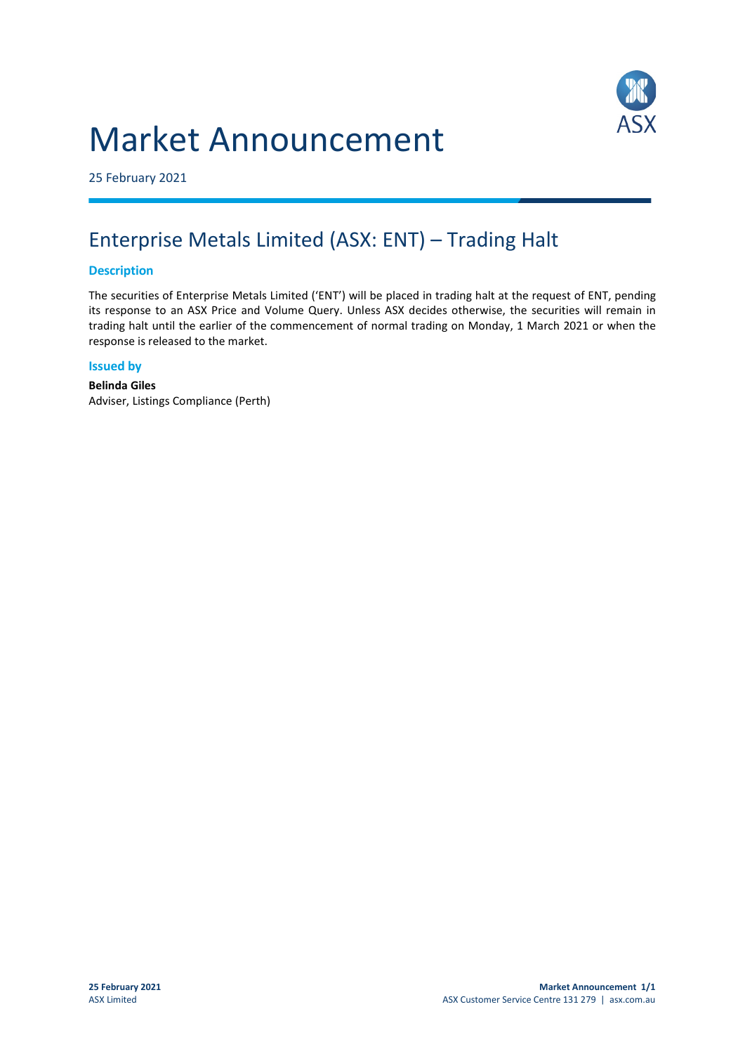# Market Announcement



25 February 2021

## Enterprise Metals Limited (ASX: ENT) – Trading Halt

#### **Description**

The securities of Enterprise Metals Limited ('ENT') will be placed in trading halt at the request of ENT, pending its response to an ASX Price and Volume Query. Unless ASX decides otherwise, the securities will remain in trading halt until the earlier of the commencement of normal trading on Monday, 1 March 2021 or when the response is released to the market.

#### **Issued by**

**Belinda Giles** Adviser, Listings Compliance (Perth)